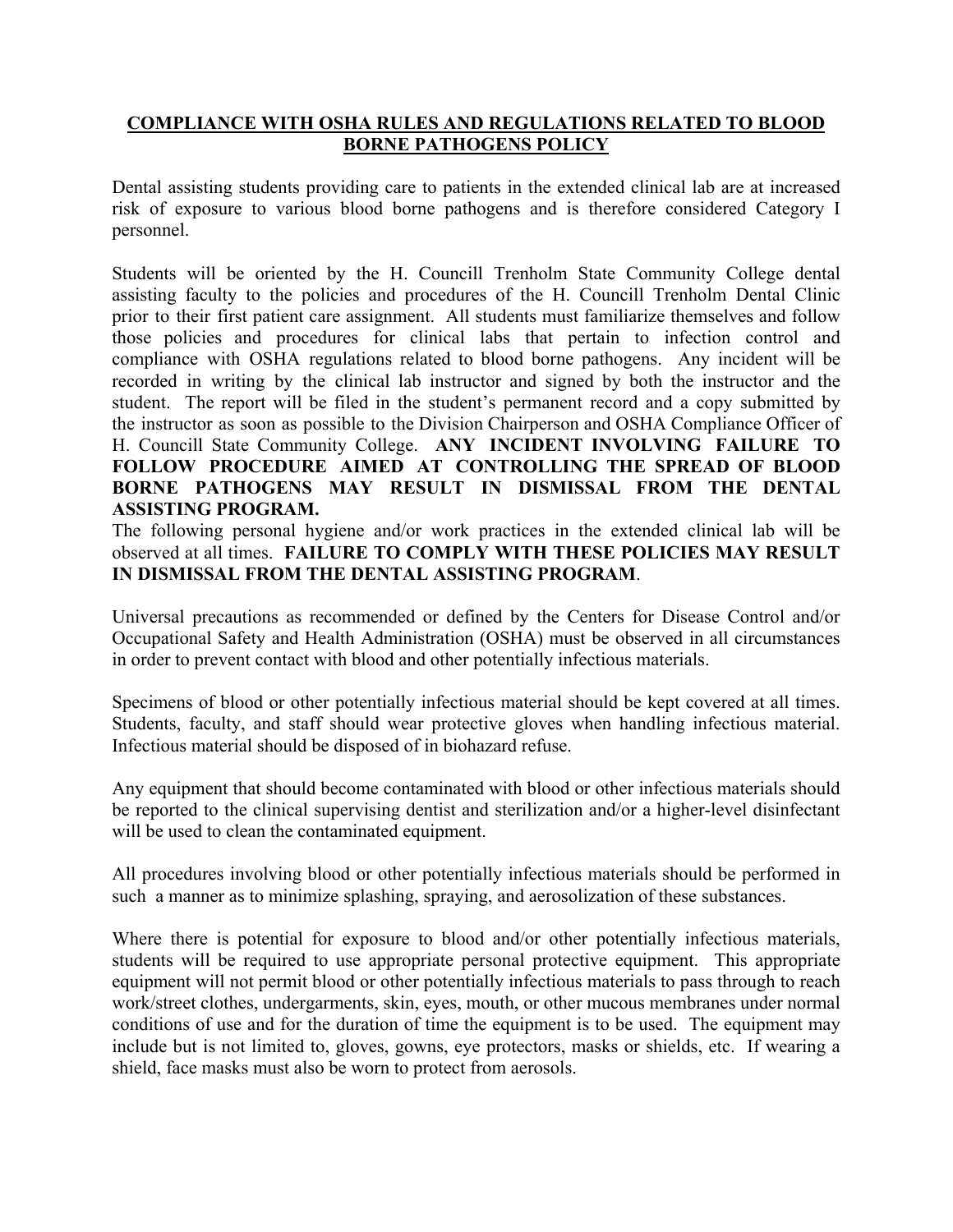## **COMPLIANCE WITH OSHA RULES AND REGULATIONS RELATED TO BLOOD BORNE PATHOGENS POLICY**

Dental assisting students providing care to patients in the extended clinical lab are at increased risk of exposure to various blood borne pathogens and is therefore considered Category I personnel.

Students will be oriented by the H. Councill Trenholm State Community College dental assisting faculty to the policies and procedures of the H. Councill Trenholm Dental Clinic prior to their first patient care assignment. All students must familiarize themselves and follow those policies and procedures for clinical labs that pertain to infection control and compliance with OSHA regulations related to blood borne pathogens. Any incident will be recorded in writing by the clinical lab instructor and signed by both the instructor and the student. The report will be filed in the student's permanent record and a copy submitted by the instructor as soon as possible to the Division Chairperson and OSHA Compliance Officer of H. Councill State Community College. **ANY INCIDENT INVOLVING FAILURE TO FOLLOW PROCEDURE AIMED AT CONTROLLING THE SPREAD OF BLOOD BORNE PATHOGENS MAY RESULT IN DISMISSAL FROM THE DENTAL ASSISTING PROGRAM.**

The following personal hygiene and/or work practices in the extended clinical lab will be observed at all times. **FAILURE TO COMPLY WITH THESE POLICIES MAY RESULT IN DISMISSAL FROM THE DENTAL ASSISTING PROGRAM**.

Universal precautions as recommended or defined by the Centers for Disease Control and/or Occupational Safety and Health Administration (OSHA) must be observed in all circumstances in order to prevent contact with blood and other potentially infectious materials.

Specimens of blood or other potentially infectious material should be kept covered at all times. Students, faculty, and staff should wear protective gloves when handling infectious material. Infectious material should be disposed of in biohazard refuse.

Any equipment that should become contaminated with blood or other infectious materials should be reported to the clinical supervising dentist and sterilization and/or a higher-level disinfectant will be used to clean the contaminated equipment.

All procedures involving blood or other potentially infectious materials should be performed in such a manner as to minimize splashing, spraying, and aerosolization of these substances.

Where there is potential for exposure to blood and/or other potentially infectious materials, students will be required to use appropriate personal protective equipment. This appropriate equipment will not permit blood or other potentially infectious materials to pass through to reach work/street clothes, undergarments, skin, eyes, mouth, or other mucous membranes under normal conditions of use and for the duration of time the equipment is to be used. The equipment may include but is not limited to, gloves, gowns, eye protectors, masks or shields, etc. If wearing a shield, face masks must also be worn to protect from aerosols.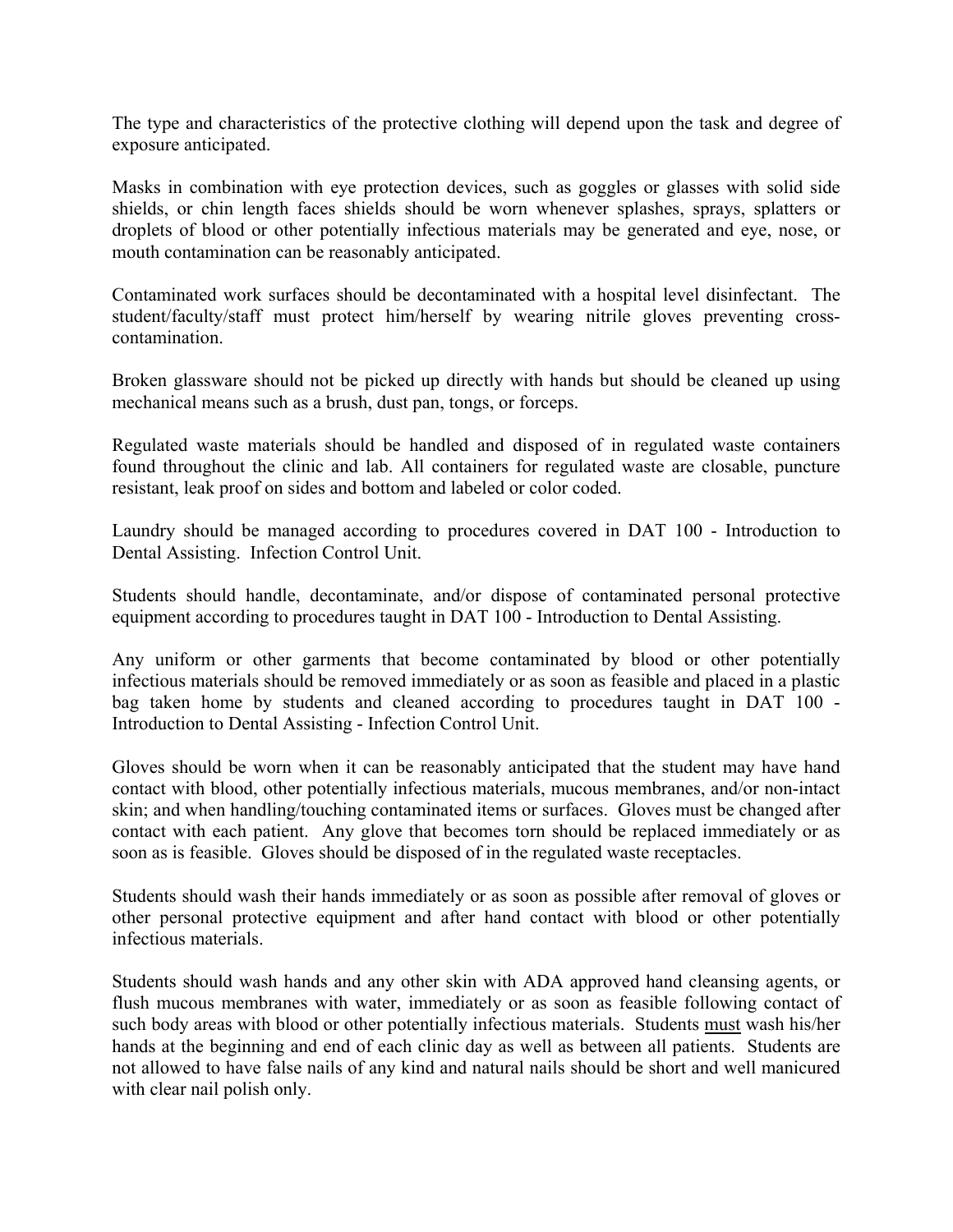The type and characteristics of the protective clothing will depend upon the task and degree of exposure anticipated.

Masks in combination with eye protection devices, such as goggles or glasses with solid side shields, or chin length faces shields should be worn whenever splashes, sprays, splatters or droplets of blood or other potentially infectious materials may be generated and eye, nose, or mouth contamination can be reasonably anticipated.

Contaminated work surfaces should be decontaminated with a hospital level disinfectant. The student/faculty/staff must protect him/herself by wearing nitrile gloves preventing crosscontamination.

Broken glassware should not be picked up directly with hands but should be cleaned up using mechanical means such as a brush, dust pan, tongs, or forceps.

Regulated waste materials should be handled and disposed of in regulated waste containers found throughout the clinic and lab. All containers for regulated waste are closable, puncture resistant, leak proof on sides and bottom and labeled or color coded.

Laundry should be managed according to procedures covered in DAT 100 - Introduction to Dental Assisting. Infection Control Unit.

Students should handle, decontaminate, and/or dispose of contaminated personal protective equipment according to procedures taught in DAT 100 - Introduction to Dental Assisting.

Any uniform or other garments that become contaminated by blood or other potentially infectious materials should be removed immediately or as soon as feasible and placed in a plastic bag taken home by students and cleaned according to procedures taught in DAT 100 - Introduction to Dental Assisting - Infection Control Unit.

Gloves should be worn when it can be reasonably anticipated that the student may have hand contact with blood, other potentially infectious materials, mucous membranes, and/or non-intact skin; and when handling/touching contaminated items or surfaces. Gloves must be changed after contact with each patient. Any glove that becomes torn should be replaced immediately or as soon as is feasible. Gloves should be disposed of in the regulated waste receptacles.

Students should wash their hands immediately or as soon as possible after removal of gloves or other personal protective equipment and after hand contact with blood or other potentially infectious materials.

Students should wash hands and any other skin with ADA approved hand cleansing agents, or flush mucous membranes with water, immediately or as soon as feasible following contact of such body areas with blood or other potentially infectious materials. Students must wash his/her hands at the beginning and end of each clinic day as well as between all patients. Students are not allowed to have false nails of any kind and natural nails should be short and well manicured with clear nail polish only.